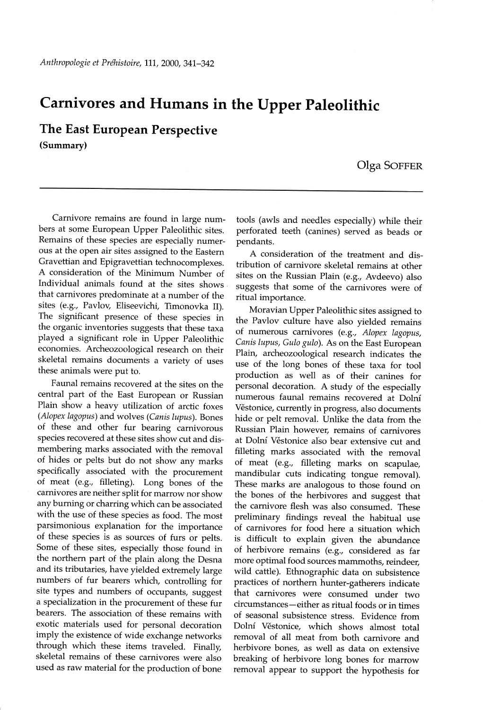## Carnivores and Humans in the Upper paleolithic

The East European Perspective (Summary)

## Olga SOFFER

Carnivore remains are found in large numbers at some European Upper Paleolithic sites. Remains of these species are especially numerous at the open air sites assigned to the Eastern Gravettian and Epigravettian technocomplexes. A consideration of the Minimum Number of Individual animals found at the sites shows that carnivores predominate at a number of the sites (e.9., Pavlov, Eliseevichi, Timonovka II). The significant presence of these species in the organic inventories suggests that these taxa played a significant role in Upper paleolithic economies. Archeozoological research on their skeletal remains documents a variety of uses these animals were put to.

Faunal remains recovered at the sites on the central part of the East European or Russian Plain show a heavy utilization of arctic foxes (Alopex lagopus) and wolves (Canis lupus). Bones of these and other fur bearing carnivorous species recovered at these sites show cut and dismembering marks associated with the removal of hides or pelts but do not show any marks specifically associated with the procurement of meat (e.9., filleting). Long bones of the carnivores are neither split for marrow nor show any burning or charring which can be associated with the use of these species as food. The most parsimonious explanation for the importance of these species is as sources of furs or pelts. Some of these sites, especially those found in the northern part of the plain along the Desna and its tributaries, have yielded extremely large numbers of fur bearers which, controlling for site types and numbers of occupants, suggest a specialization in the procurement of these fur bearers. The association of these remains with exotic materials used for personal decoration imply the existence of wide exchange networks through which these items traveled. Finally, skeletal remains of these carnivores were also used as raw material for the production of bone

tools (awls and needles especially) while their perforated teeth (canines) served as beads or pendants.

A consideration of the treatment and distribution of carnivore skeletal remains at other sites on the Russian Plain (e.g., Avdeevo) also suggests that some of the carnivores were of ritual importance.

Moravian Upper Paleolithic sites assigned to the Pavlov culture have also yielded remains of numerous carnivores (e.g., Alopex lagopus, Canis lupus, Gulo gulo). As on the East European Plain, archeozoological research indicates the use of the long bones of these taxa for tool production as well as of their canines for personal decoration. A study of the especially numerous faunal remains recovered at Dolní Věstonice, currently in progress, also documents hide or pelt removal. Unlike the data from the Russian Plain however, remains of carnivores at Dolní Věstonice also bear extensive cut and filleting marks associated with the removal of meat (e.g., filleting marks on scapulae, mandibular cuts indicating tongue removal). These marks are analogous to those found on the bones of the herbivores and suggest that the carnivore flesh was also consumed. These preliminary findings reveal the habitual use of carnivores for food here a situation which is difficult to explain given the abundance of herbivore remains (e.g., considered as far more optimal food sources mammoths, reindeer, wild cattle). Ethnographic data on subsistence practices of northern hunter-gatherers indicate that carnivores were consumed under two circumstances-either as rifual foods or in times of seasonal subsistence stress. Evidence from Dolní Věstonice, which shows almost total removal of all meat from both carnivore and herbivore bones, as well as data on extensive breaking of herbivore long bones for marrow removal appear to support the hypothesis for